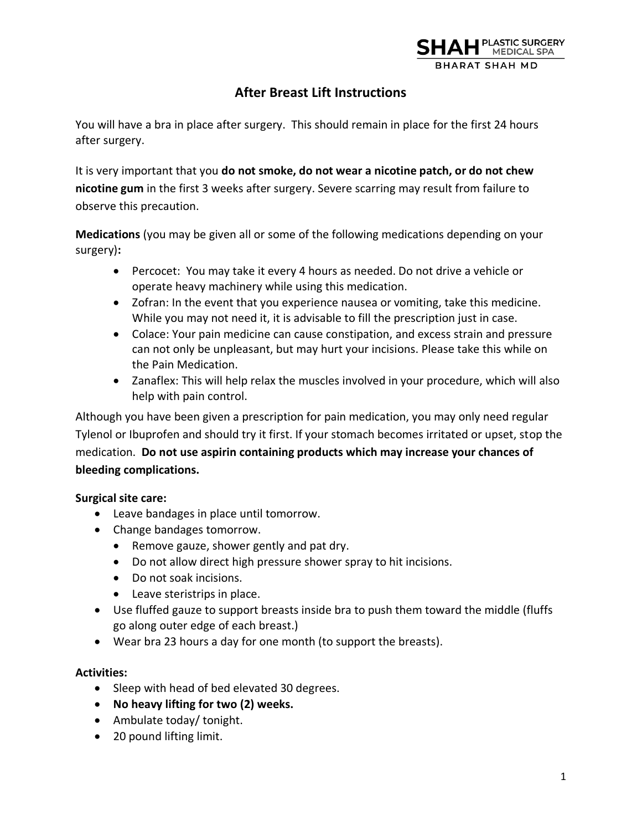

# **After Breast Lift Instructions**

You will have a bra in place after surgery. This should remain in place for the first 24 hours after surgery.

It is very important that you **do not smoke, do not wear a nicotine patch, or do not chew nicotine gum** in the first 3 weeks after surgery. Severe scarring may result from failure to observe this precaution.

**Medications** (you may be given all or some of the following medications depending on your surgery)**:**

- Percocet: You may take it every 4 hours as needed. Do not drive a vehicle or operate heavy machinery while using this medication.
- Zofran: In the event that you experience nausea or vomiting, take this medicine. While you may not need it, it is advisable to fill the prescription just in case.
- Colace: Your pain medicine can cause constipation, and excess strain and pressure can not only be unpleasant, but may hurt your incisions. Please take this while on the Pain Medication.
- Zanaflex: This will help relax the muscles involved in your procedure, which will also help with pain control.

Although you have been given a prescription for pain medication, you may only need regular Tylenol or Ibuprofen and should try it first. If your stomach becomes irritated or upset, stop the medication. **Do not use aspirin containing products which may increase your chances of bleeding complications.** 

# **Surgical site care:**

- Leave bandages in place until tomorrow.
- Change bandages tomorrow.
	- Remove gauze, shower gently and pat dry.
	- Do not allow direct high pressure shower spray to hit incisions.
	- Do not soak incisions.
	- Leave steristrips in place.
- Use fluffed gauze to support breasts inside bra to push them toward the middle (fluffs go along outer edge of each breast.)
- Wear bra 23 hours a day for one month (to support the breasts).

# **Activities:**

- Sleep with head of bed elevated 30 degrees.
- **No heavy lifting for two (2) weeks.**
- Ambulate today/ tonight.
- 20 pound lifting limit.